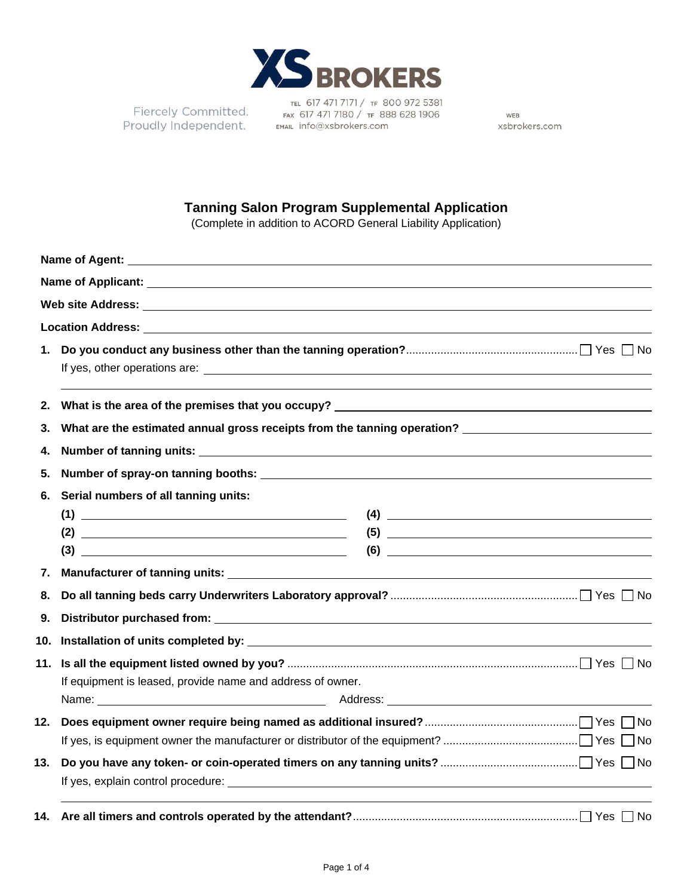

TEL 617 471 7171 / TF 800 972 5381 Fiercely Committed.<br>Proudly Independent. EMAL Info@xsbrokers.com

WEB xsbrokers.com

## **Tanning Salon Program Supplemental Application**

(Complete in addition to ACORD General Liability Application)

| 1.  |                                                                                                                                                                                                                                                                                                                                                                                                                                                                                                                                                                                                                                                                                                                                                                                                                                                 |
|-----|-------------------------------------------------------------------------------------------------------------------------------------------------------------------------------------------------------------------------------------------------------------------------------------------------------------------------------------------------------------------------------------------------------------------------------------------------------------------------------------------------------------------------------------------------------------------------------------------------------------------------------------------------------------------------------------------------------------------------------------------------------------------------------------------------------------------------------------------------|
| 2.  |                                                                                                                                                                                                                                                                                                                                                                                                                                                                                                                                                                                                                                                                                                                                                                                                                                                 |
| 3.  | What are the estimated annual gross receipts from the tanning operation? ___________________________                                                                                                                                                                                                                                                                                                                                                                                                                                                                                                                                                                                                                                                                                                                                            |
| 4.  |                                                                                                                                                                                                                                                                                                                                                                                                                                                                                                                                                                                                                                                                                                                                                                                                                                                 |
| 5.  |                                                                                                                                                                                                                                                                                                                                                                                                                                                                                                                                                                                                                                                                                                                                                                                                                                                 |
| 6.  | Serial numbers of all tanning units:                                                                                                                                                                                                                                                                                                                                                                                                                                                                                                                                                                                                                                                                                                                                                                                                            |
|     | $\begin{picture}(4) \put(0,0){\dashbox{0.5}(6,0){ }} \put(15,0){\dashbox{0.5}(6,0){ }} \put(25,0){\dashbox{0.5}(6,0){ }} \put(35,0){\dashbox{0.5}(6,0){ }} \put(40,0){\dashbox{0.5}(6,0){ }} \put(50,0){\dashbox{0.5}(6,0){ }} \put(60,0){\dashbox{0.5}(6,0){ }} \put(60,0){\dashbox{0.5}(6,0){ }} \put(60,0){\dashbox{0.5}(6,0){ }} \put(60,0){\dashbox{0.5}(6,0){ }} \put(6$                                                                                                                                                                                                                                                                                                                                                                                                                                                                  |
|     |                                                                                                                                                                                                                                                                                                                                                                                                                                                                                                                                                                                                                                                                                                                                                                                                                                                 |
|     | $(3) \begin{tabular}{c} \hline \rule[1em]{1em}{1em} \multicolumn{3}{c} \multicolumn{3}{c} \multicolumn{3}{c} \multicolumn{3}{c} \multicolumn{3}{c} \multicolumn{3}{c} \multicolumn{3}{c} \multicolumn{3}{c} \multicolumn{3}{c} \multicolumn{3}{c} \multicolumn{3}{c} \multicolumn{3}{c} \multicolumn{3}{c} \multicolumn{3}{c} \multicolumn{3}{c} \multicolumn{3}{c} \multicolumn{3}{c} \multicolumn{3}{c} \multicolumn{3}{c} \multicolumn{3}{c} \multicolumn{3}{c} \multicolumn{$<br>$(6) \begin{tabular}{ c c c c } \hline \rule{0.3cm}{.01cm} \rule{0.3cm}{.01cm} \rule{0.3cm}{.01cm} \rule{0.3cm}{.01cm} \rule{0.3cm}{.01cm} \rule{0.3cm}{.01cm} \rule{0.3cm}{.01cm} \rule{0.3cm}{.01cm} \rule{0.3cm}{.01cm} \rule{0.3cm}{.01cm} \rule{0.3cm}{.01cm} \rule{0.3cm}{.01cm} \rule{0.3cm}{.01cm} \rule{0.3cm}{.01cm} \rule{0.3cm}{.01cm} \rule{$ |
| 7.  |                                                                                                                                                                                                                                                                                                                                                                                                                                                                                                                                                                                                                                                                                                                                                                                                                                                 |
| 8.  |                                                                                                                                                                                                                                                                                                                                                                                                                                                                                                                                                                                                                                                                                                                                                                                                                                                 |
| 9.  |                                                                                                                                                                                                                                                                                                                                                                                                                                                                                                                                                                                                                                                                                                                                                                                                                                                 |
|     |                                                                                                                                                                                                                                                                                                                                                                                                                                                                                                                                                                                                                                                                                                                                                                                                                                                 |
| 11. |                                                                                                                                                                                                                                                                                                                                                                                                                                                                                                                                                                                                                                                                                                                                                                                                                                                 |
|     | If equipment is leased, provide name and address of owner.                                                                                                                                                                                                                                                                                                                                                                                                                                                                                                                                                                                                                                                                                                                                                                                      |
|     | Name: Name: Name: Name: Name: Name: Name: Name: Name: Name: Name: Name: Name: Name: Name: Name: Name: Name: Name: Name: Name: Name: Name: Name: Name: Name: Name: Name: Name: Name: Name: Name: Name: Name: Name: Name: Name:                                                                                                                                                                                                                                                                                                                                                                                                                                                                                                                                                                                                                   |
| 12. |                                                                                                                                                                                                                                                                                                                                                                                                                                                                                                                                                                                                                                                                                                                                                                                                                                                 |
|     |                                                                                                                                                                                                                                                                                                                                                                                                                                                                                                                                                                                                                                                                                                                                                                                                                                                 |
| 13. |                                                                                                                                                                                                                                                                                                                                                                                                                                                                                                                                                                                                                                                                                                                                                                                                                                                 |
| 14. |                                                                                                                                                                                                                                                                                                                                                                                                                                                                                                                                                                                                                                                                                                                                                                                                                                                 |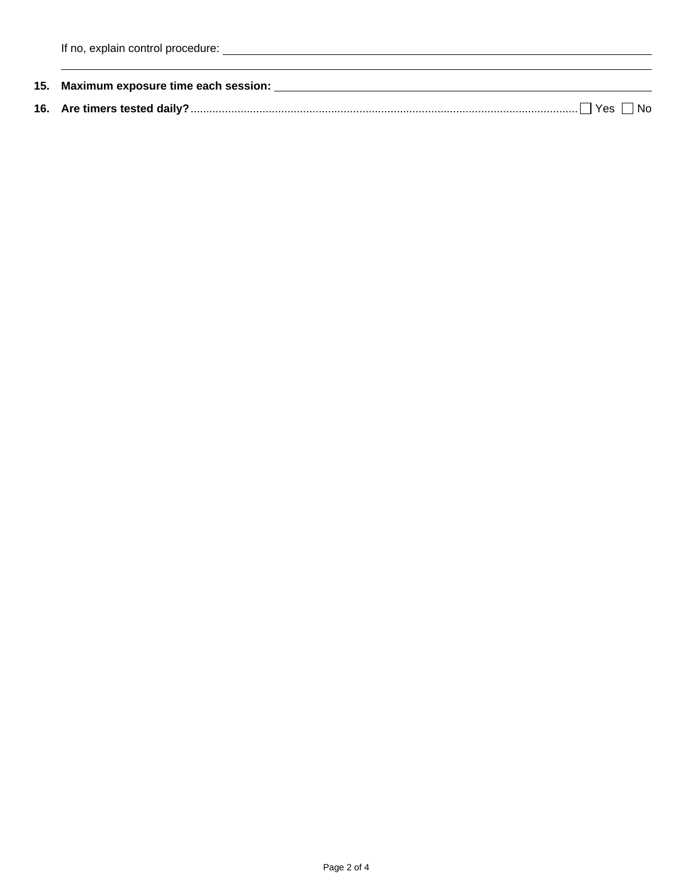| 15. Maximum exposure time each session: |
|-----------------------------------------|
|                                         |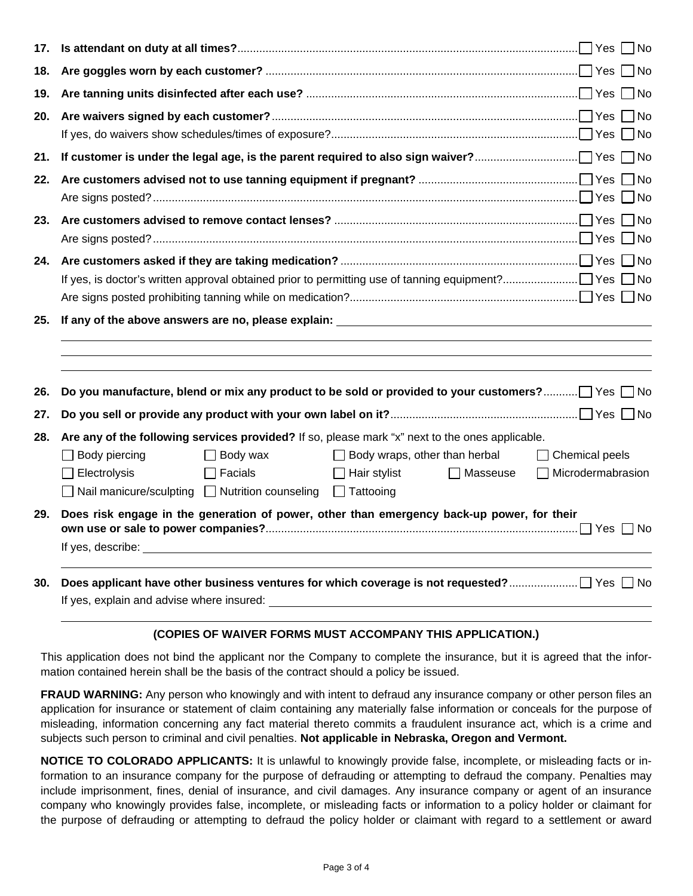| 18. |                                                                                                                                                                                                                                                                                                                                                                                        |
|-----|----------------------------------------------------------------------------------------------------------------------------------------------------------------------------------------------------------------------------------------------------------------------------------------------------------------------------------------------------------------------------------------|
| 19. |                                                                                                                                                                                                                                                                                                                                                                                        |
| 20. |                                                                                                                                                                                                                                                                                                                                                                                        |
|     |                                                                                                                                                                                                                                                                                                                                                                                        |
| 22. |                                                                                                                                                                                                                                                                                                                                                                                        |
| 23. |                                                                                                                                                                                                                                                                                                                                                                                        |
| 24. |                                                                                                                                                                                                                                                                                                                                                                                        |
| 25. | If any of the above answers are no, please explain: The state of the state of the state of the state of the state of the state of the state of the state of the state of the state of the state of the state of the state of t                                                                                                                                                         |
| 26. | Do you manufacture, blend or mix any product to be sold or provided to your customers? Yes No                                                                                                                                                                                                                                                                                          |
| 27. |                                                                                                                                                                                                                                                                                                                                                                                        |
| 28. | Are any of the following services provided? If so, please mark "x" next to the ones applicable.<br>$\Box$ Body piercing<br>$\Box$ Body wraps, other than herbal<br>Body wax<br>$\Box$ Chemical peels<br>Electrolysis<br>Facials<br>$\Box$ Hair stylist<br>Microdermabrasion<br>Masseuse<br>$\mathbf{I}$<br>$\Box$ Nail manicure/sculpting $\Box$ Nutrition counseling $\Box$ Tattooing |
| 29. | Does risk engage in the generation of power, other than emergency back-up power, for their                                                                                                                                                                                                                                                                                             |
| 30. |                                                                                                                                                                                                                                                                                                                                                                                        |

## **(COPIES OF WAIVER FORMS MUST ACCOMPANY THIS APPLICATION.)**

This application does not bind the applicant nor the Company to complete the insurance, but it is agreed that the information contained herein shall be the basis of the contract should a policy be issued.

**FRAUD WARNING:** Any person who knowingly and with intent to defraud any insurance company or other person files an application for insurance or statement of claim containing any materially false information or conceals for the purpose of misleading, information concerning any fact material thereto commits a fraudulent insurance act, which is a crime and subjects such person to criminal and civil penalties. **Not applicable in Nebraska, Oregon and Vermont.**

**NOTICE TO COLORADO APPLICANTS:** It is unlawful to knowingly provide false, incomplete, or misleading facts or information to an insurance company for the purpose of defrauding or attempting to defraud the company. Penalties may include imprisonment, fines, denial of insurance, and civil damages. Any insurance company or agent of an insurance company who knowingly provides false, incomplete, or misleading facts or information to a policy holder or claimant for the purpose of defrauding or attempting to defraud the policy holder or claimant with regard to a settlement or award